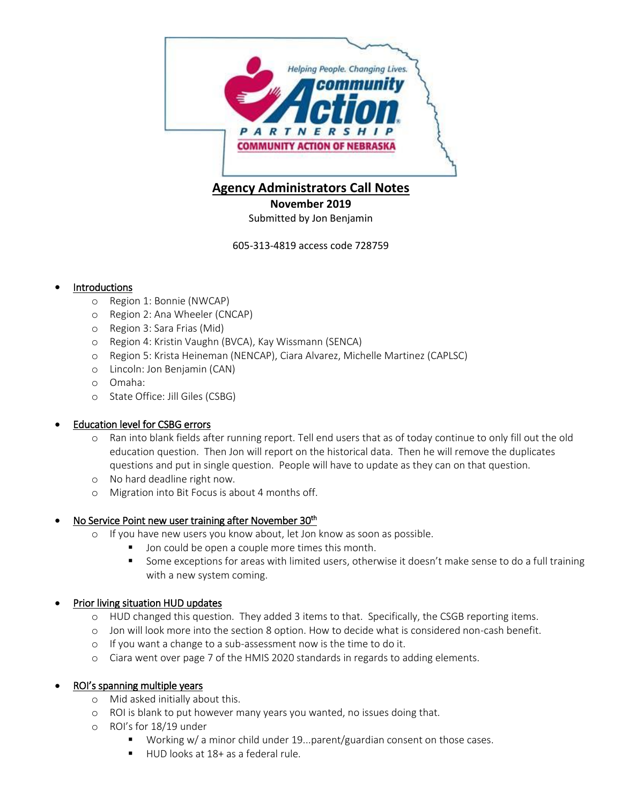

# **Agency Administrators Call Notes**

**November 2019**

Submitted by Jon Benjamin

605-313-4819 access code 728759

### Introductions

- o Region 1: Bonnie (NWCAP)
- o Region 2: Ana Wheeler (CNCAP)
- o Region 3: Sara Frias (Mid)
- o Region 4: Kristin Vaughn (BVCA), Kay Wissmann (SENCA)
- o Region 5: Krista Heineman (NENCAP), Ciara Alvarez, Michelle Martinez (CAPLSC)
- o Lincoln: Jon Benjamin (CAN)
- o Omaha:
- o State Office: Jill Giles (CSBG)

### Education level for CSBG errors

- o Ran into blank fields after running report. Tell end users that as of today continue to only fill out the old education question. Then Jon will report on the historical data. Then he will remove the duplicates questions and put in single question. People will have to update as they can on that question.
- o No hard deadline right now.
- o Migration into Bit Focus is about 4 months off.

## • No Service Point new user training after November 30<sup>th</sup>

- o If you have new users you know about, let Jon know as soon as possible.
	- **Jon could be open a couple more times this month.**
	- Some exceptions for areas with limited users, otherwise it doesn't make sense to do a full training with a new system coming.

### Prior living situation HUD updates

- o HUD changed this question. They added 3 items to that. Specifically, the CSGB reporting items.
- o Jon will look more into the section 8 option. How to decide what is considered non-cash benefit.
- o If you want a change to a sub-assessment now is the time to do it.
- o Ciara went over page 7 of the HMIS 2020 standards in regards to adding elements.

## ROI's spanning multiple years

- o Mid asked initially about this.
- o ROI is blank to put however many years you wanted, no issues doing that.
- o ROI's for 18/19 under
	- Working w/ a minor child under 19...parent/guardian consent on those cases.
	- HUD looks at 18+ as a federal rule.